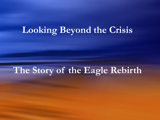# **Looking Beyond the Crisis**

## **The Story of the Eagle Rebirth**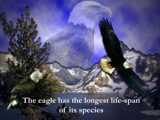**The eagle has the longest life-span of its species**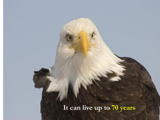#### **It can live up to 70 years**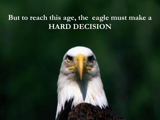#### **But to reach this age, the eagle must make a HARD DECISION**

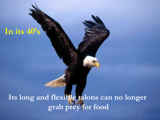#### **In its 40's**

Its long and flexible talons can no longer **grab prey for food**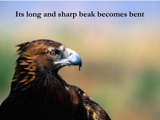#### **Its long and sharp beak becomes bent**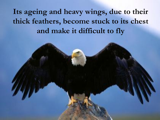## **Its ageing and heavy wings, due to their thick feathers, become stuck to its chest and make it difficult to fly**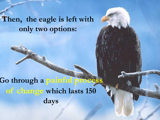#### **Then, the eagle is left with only two options:**

**Go through a painful process of change which lasts 150 days**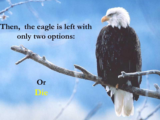### **Then, the eagle is left with only two options:**

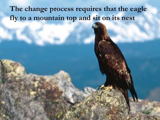**The change process requires that the eagle fly to a mountain top and sit on its nest**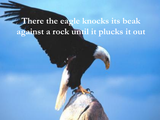## **There the eagle knocks its beak against a rock until it plucks it out**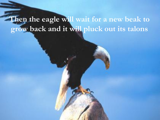### Then the eagle will wait for a new beak to **grow back and it will pluck out its talons**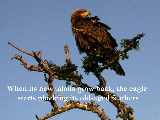When its new talons grow back, the eagle **starts plucking its old-aged feathers**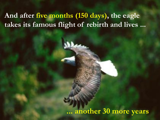#### **And after five months (150 days), the eagle takes its famous flight of rebirth and lives ...**

#### **... another 30 more years**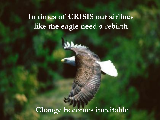### **In times of CRISIS our airlines like the eagle need a rebirth**

### **Change becomes inevitable**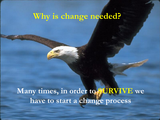## **Why is change needed?**

**Many times, in order to SURVIVE we have to start a change process**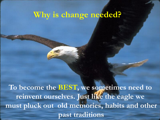#### **Why is change needed?**

**To become the BEST, we sometimes need to reinvent ourselves. Just like the eagle we must pluck out old memories, habits and other past traditions**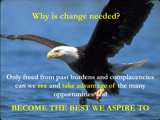#### **Why is change needed?**

**Only freed from past burdens and complacencies can we see and take advantage of the many opportunities and**

**BECOME THE BEST WE ASPIRE TO**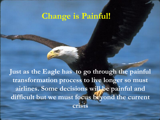#### **Change is Painful!**

**Just as the Eagle has to go through the painful transformation process to live longer so must airlines. Some decisions will be painful and difficult but we must focus beyond the current crisis**